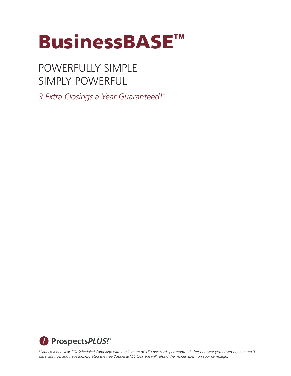

POWERFULLY SIMPLE SIMPLY POWERFUL

*3 Extra Closings a Year Guaranteed!\**



*\*Launch a one-year SOI Scheduled Campaign with a minimum of 150 postcards per month. If after one year you haven't generated 3 extra closings, and have incorporated the free BusinessBASE tool, we will refund the money spent on your campaign.*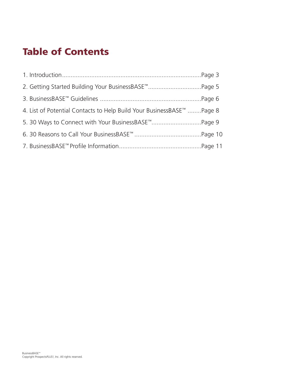# Table of Contents

| 2. Getting Started Building Your BusinessBASE <sup>™</sup> Page 5     |  |
|-----------------------------------------------------------------------|--|
|                                                                       |  |
| 4. List of Potential Contacts to Help Build Your BusinessBASE™ Page 8 |  |
| 5. 30 Ways to Connect with Your BusinessBASE <sup>™</sup> Page 9      |  |
|                                                                       |  |
|                                                                       |  |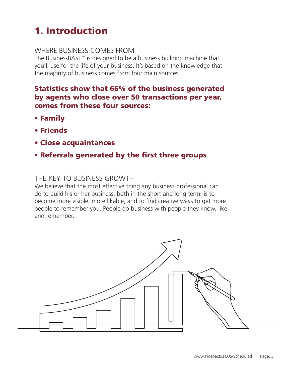# 1. Introduction

### WHERE BUSINESS COMES FROM

The BusinessBASE™ is designed to be a business building machine that you'll use for the life of your business. It's based on the knowledge that the majority of business comes from four main sources.

### Statistics show that 66% of the business generated by agents who close over 50 transactions per year, comes from these four sources:

- Family
- Friends
- Close acquaintances
- Referrals generated by the first three groups

### THE KEY TO BUSINESS GROWTH

We believe that the most effective thing any business professional can do to build his or her business, both in the short and long term, is to become more visible, more likable, and to find creative ways to get more people to remember you. People do business with people they know, like and remember.

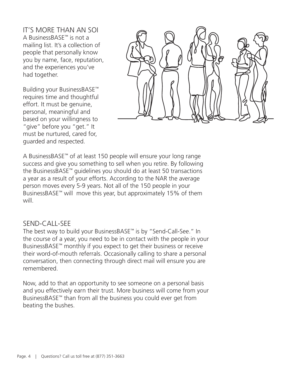IT'S MORE THAN AN SOI A BusinessBASE™ is not a mailing list. It's a collection of people that personally know you by name, face, reputation, and the experiences you've had together.

Building your BusinessBASE™ requires time and thoughtful effort. It must be genuine, personal, meaningful and based on your willingness to "give" before you "get." It must be nurtured, cared for, guarded and respected.



A BusinessBASE™ of at least 150 people will ensure your long range success and give you something to sell when you retire. By following the BusinessBASE™ guidelines you should do at least 50 transactions a year as a result of your efforts. According to the NAR the average person moves every 5-9 years. Not all of the 150 people in your BusinessBASE™ will move this year, but approximately 15% of them will

#### SEND-CALL-SEE

The best way to build your BusinessBASE™ is by "Send-Call-See." In the course of a year, you need to be in contact with the people in your BusinessBASE™ monthly if you expect to get their business or receive their word-of-mouth referrals. Occasionally calling to share a personal conversation, then connecting through direct mail will ensure you are remembered.

Now, add to that an opportunity to see someone on a personal basis and you effectively earn their trust. More business will come from your BusinessBASE™ than from all the business you could ever get from beating the bushes.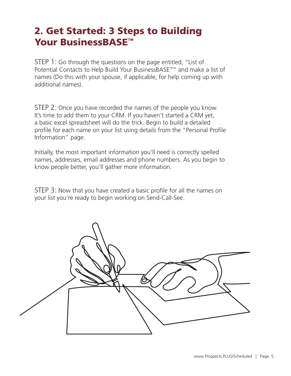## 2. Get Started: 3 Steps to Building Your BusinessBASE<sup>™</sup>

STEP 1: Go through the questions on the page entitled, "List of Potential Contacts to Help Build Your BusinessBASE™" and make a list of names (Do this with your spouse, if applicable, for help coming up with additional names).

STEP 2: Once you have recorded the names of the people you know. It's time to add them to your CRM. If you haven't started a CRM yet, a basic excel spreadsheet will do the trick. Begin to build a detailed profile for each name on your list using details from the "Personal Profile Information" page.

Initially, the most important information you'll need is correctly spelled names, addresses, email addresses and phone numbers. As you begin to know people better, you'll gather more information.

STEP 3: Now that you have created a basic profile for all the names on your list you're ready to begin working on Send-Call-See.

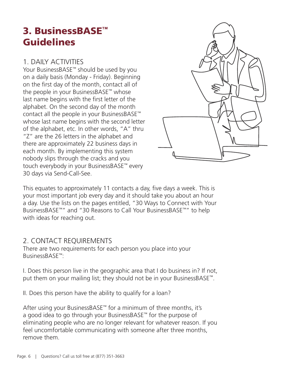## 3. BusinessBASE™ Guidelines

### 1. DAILY ACTIVITIES

Your BusinessBASE™ should be used by you on a daily basis (Monday - Friday). Beginning on the first day of the month, contact all of the people in your BusinessBASE™ whose last name begins with the first letter of the alphabet. On the second day of the month contact all the people in your BusinessBASE™ whose last name begins with the second letter of the alphabet, etc. In other words, "A" thru "Z" are the 26 letters in the alphabet and there are approximately 22 business days in each month. By implementing this system nobody slips through the cracks and you touch everybody in your BusinessBASE™ every 30 days via Send-Call-See.



This equates to approximately 11 contacts a day, five days a week. This is your most important job every day and it should take you about an hour a day. Use the lists on the pages entitled, "30 Ways to Connect with Your BusinessBASE™" and "30 Reasons to Call Your BusinessBASE™" to help with ideas for reaching out.

### 2. CONTACT REQUIREMENTS

There are two requirements for each person you place into your BusinessBASE™:

I. Does this person live in the geographic area that I do business in? If not, put them on your mailing list; they should not be in your BusinessBASE<sup>™</sup>.

II. Does this person have the ability to qualify for a loan?

After using your BusinessBASE™ for a minimum of three months, it's a good idea to go through your BusinessBASE™ for the purpose of eliminating people who are no longer relevant for whatever reason. If you feel uncomfortable communicating with someone after three months, remove them.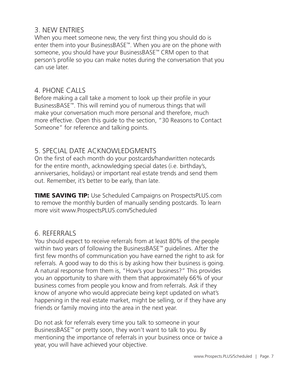#### 3. NEW ENTRIES

When you meet someone new, the very first thing you should do is enter them into your BusinessBASE™. When you are on the phone with someone, you should have your BusinessBASE™ CRM open to that person's profile so you can make notes during the conversation that you can use later.

#### 4. PHONE CALLS

Before making a call take a moment to look up their profile in your BusinessBASE™. This will remind you of numerous things that will make your conversation much more personal and therefore, much more effective. Open this guide to the section, "30 Reasons to Contact Someone" for reference and talking points.

### 5. SPECIAL DATE ACKNOWLEDGMENTS

On the first of each month do your postcards/handwritten notecards for the entire month, acknowledging special dates (i.e. birthday's, anniversaries, holidays) or important real estate trends and send them out. Remember, it's better to be early, than late.

**TIME SAVING TIP:** Use Scheduled Campaigns on ProspectsPLUS.com to remove the monthly burden of manually sending postcards. To learn more visit www.ProspectsPLUS.com/Scheduled

### 6. REFERRALS

You should expect to receive referrals from at least 80% of the people within two years of following the BusinessBASE™ guidelines. After the first few months of communication you have earned the right to ask for referrals. A good way to do this is by asking how their business is going. A natural response from them is, "How's your business?" This provides you an opportunity to share with them that approximately 66% of your business comes from people you know and from referrals. Ask if they know of anyone who would appreciate being kept updated on what's happening in the real estate market, might be selling, or if they have any friends or family moving into the area in the next year.

Do not ask for referrals every time you talk to someone in your BusinessBASE™ or pretty soon, they won't want to talk to you. By mentioning the importance of referrals in your business once or twice a year, you will have achieved your objective.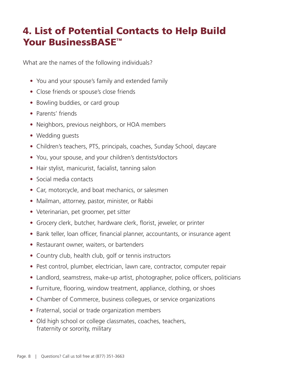## 4. List of Potential Contacts to Help Build Your BusinessBASE<sup>™</sup>

What are the names of the following individuals?

- You and your spouse's family and extended family
- Close friends or spouse's close friends
- Bowling buddies, or card group
- Parents' friends
- Neighbors, previous neighbors, or HOA members
- Wedding guests
- Children's teachers, PTS, principals, coaches, Sunday School, daycare
- You, your spouse, and your children's dentists/doctors
- Hair stylist, manicurist, facialist, tanning salon
- Social media contacts
- Car, motorcycle, and boat mechanics, or salesmen
- Mailman, attorney, pastor, minister, or Rabbi
- Veterinarian, pet groomer, pet sitter
- Grocery clerk, butcher, hardware clerk, florist, jeweler, or printer
- Bank teller, loan officer, financial planner, accountants, or insurance agent
- Restaurant owner, waiters, or bartenders
- Country club, health club, golf or tennis instructors
- Pest control, plumber, electrician, lawn care, contractor, computer repair
- Landlord, seamstress, make-up artist, photographer, police officers, politicians
- Furniture, flooring, window treatment, appliance, clothing, or shoes
- Chamber of Commerce, business collegues, or service organizations
- Fraternal, social or trade organization members
- Old high school or college classmates, coaches, teachers, fraternity or sorority, military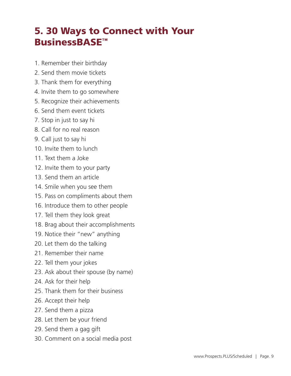## 5. 30 Ways to Connect with Your BusinessBASE™

- 1. Remember their birthday
- 2. Send them movie tickets
- 3. Thank them for everything
- 4. Invite them to go somewhere
- 5. Recognize their achievements
- 6. Send them event tickets
- 7. Stop in just to say hi
- 8. Call for no real reason
- 9. Call just to say hi
- 10. Invite them to lunch
- 11. Text them a Joke
- 12. Invite them to your party
- 13. Send them an article
- 14. Smile when you see them
- 15. Pass on compliments about them
- 16. Introduce them to other people
- 17. Tell them they look great
- 18. Brag about their accomplishments
- 19. Notice their "new" anything
- 20. Let them do the talking
- 21. Remember their name
- 22. Tell them your jokes
- 23. Ask about their spouse (by name)
- 24. Ask for their help
- 25. Thank them for their business
- 26. Accept their help
- 27. Send them a pizza
- 28. Let them be your friend
- 29. Send them a gag gift
- 30. Comment on a social media post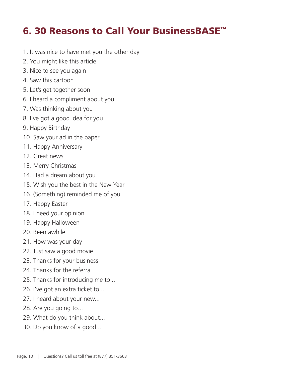## 6. 30 Reasons to Call Your BusinessBASE™

- 1. It was nice to have met you the other day
- 2. You might like this article
- 3. Nice to see you again
- 4. Saw this cartoon
- 5. Let's get together soon
- 6. I heard a compliment about you
- 7. Was thinking about you
- 8. I've got a good idea for you
- 9. Happy Birthday
- 10. Saw your ad in the paper
- 11. Happy Anniversary
- 12. Great news
- 13. Merry Christmas
- 14. Had a dream about you
- 15. Wish you the best in the New Year
- 16. (Something) reminded me of you
- 17. Happy Easter
- 18. I need your opinion
- 19. Happy Halloween
- 20. Been awhile
- 21. How was your day
- 22. Just saw a good movie
- 23. Thanks for your business
- 24. Thanks for the referral
- 25. Thanks for introducing me to...
- 26. I've got an extra ticket to...
- 27. I heard about your new...
- 28. Are you going to...
- 29. What do you think about...
- 30. Do you know of a good...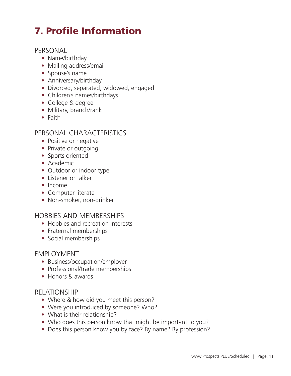# 7. Profile Information

#### PERSONAL

- Name/birthday
- Mailing address/email
- Spouse's name
- Anniversary/birthday
- Divorced, separated, widowed, engaged
- Children's names/birthdays
- College & degree
- Military, branch/rank
- Faith

#### PERSONAL CHARACTERISTICS

- Positive or negative
- Private or outgoing
- Sports oriented
- Academic
- Outdoor or indoor type
- Listener or talker
- Income
- Computer literate
- Non-smoker, non-drinker

#### HOBBIES AND MEMBERSHIPS

- Hobbies and recreation interests
- Fraternal memberships
- Social memberships

#### EMPLOYMENT

- Business/occupation/employer
- Professional/trade memberships
- Honors & awards

#### RELATIONSHIP

- Where & how did you meet this person?
- Were you introduced by someone? Who?
- What is their relationship?
- Who does this person know that might be important to you?
- Does this person know you by face? By name? By profession?